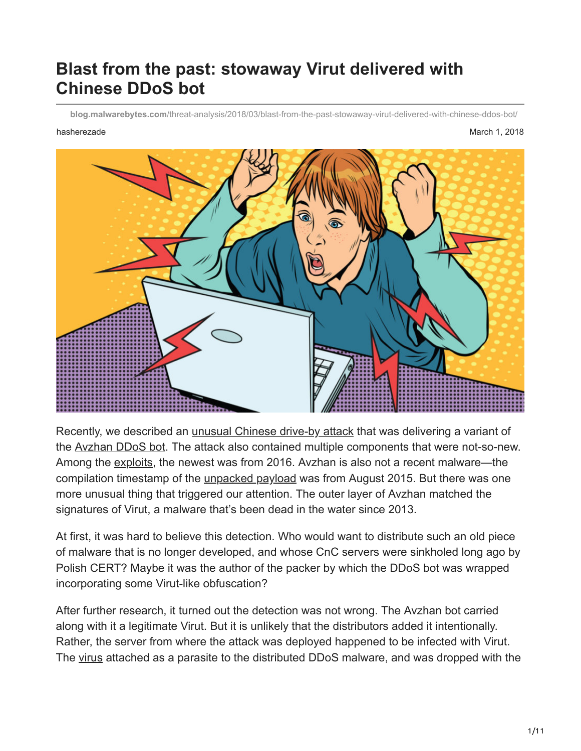# **Blast from the past: stowaway Virut delivered with Chinese DDoS bot**

**blog.malwarebytes.com**[/threat-analysis/2018/03/blast-from-the-past-stowaway-virut-delivered-with-chinese-ddos-bot/](https://blog.malwarebytes.com/threat-analysis/2018/03/blast-from-the-past-stowaway-virut-delivered-with-chinese-ddos-bot/)

hasherezade March 1, 2018



Recently, we described an *unusual Chinese drive-by attack* that was delivering a variant of the [Avzhan DDoS bot](https://blog.malwarebytes.com/threat-analysis/2018/02/avzhan-ddos-bot-dropped-by-chinese-drive-by-attack/). The attack also contained multiple components that were not-so-new. Among the [exploits](https://www.malwarebytes.com/exploits/), the newest was from 2016. Avzhan is also not a recent malware—the compilation timestamp of the *unpacked payload* was from August 2015. But there was one more unusual thing that triggered our attention. The outer layer of Avzhan matched the signatures of Virut, a malware that's been dead in the water since 2013.

At first, it was hard to believe this detection. Who would want to distribute such an old piece of malware that is no longer developed, and whose CnC servers were sinkholed long ago by Polish CERT? Maybe it was the author of the packer by which the DDoS bot was wrapped incorporating some Virut-like obfuscation?

After further research, it turned out the detection was not wrong. The Avzhan bot carried along with it a legitimate Virut. But it is unlikely that the distributors added it intentionally. Rather, the server from where the attack was deployed happened to be infected with Virut. The [virus](https://www.malwarebytes.com/computer-virus/) attached as a parasite to the distributed DDoS malware, and was dropped with the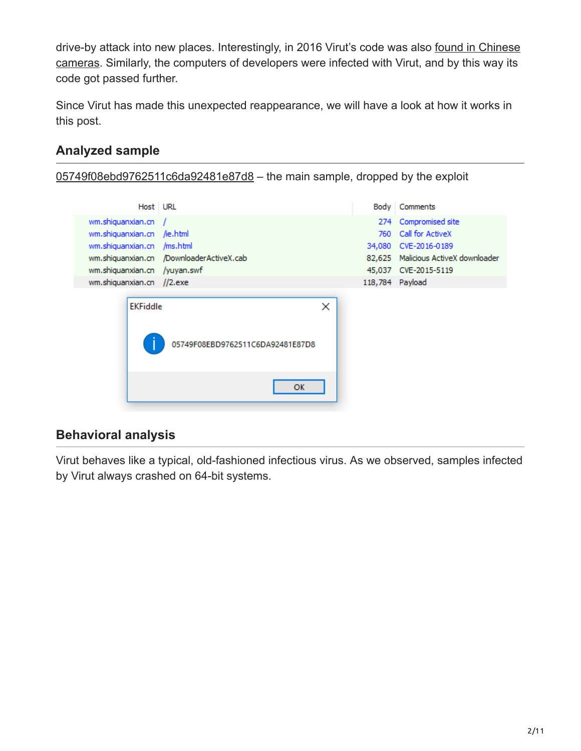[drive-by attack into new places. Interestingly, in 2016 Virut's code was also found in Chinese](https://translate.google.com/translate?sl=auto&tl=en&js=y&prev=_t&hl=en&ie=UTF-8&u=https%3A%2F%2Fzaufanatrzeciastrona.pl%2Fpost%2Fecho-slynnego-polskiego-botnetu-powraca-w-chinskiej-kamerze%2F&edit-text=&act=url) cameras. Similarly, the computers of developers were infected with Virut, and by this way its code got passed further.

Since Virut has made this unexpected reappearance, we will have a look at how it works in this post.

# **Analyzed sample**

[05749f08ebd9762511c6da92481e87d8](https://www.virustotal.com/en/file/65ABED6C77CC219A090EBEF73D6A526FCCEDAA391FBFDCB4B416D0845B3D0DBC/analysis/) – the main sample, dropped by the exploit

| Host URL                     |                                          | <b>Body</b> | Comments                            |
|------------------------------|------------------------------------------|-------------|-------------------------------------|
| wm.shiquanxian.cn            |                                          | 274         | Compromised site                    |
| wm.shiquanxian.cn /ie.html   |                                          | 760         | Call for ActiveX                    |
| wm.shiquanxian.cn /ms.html   |                                          |             | 34,080 CVE-2016-0189                |
|                              | wm.shiquanxian.cn /DownloaderActiveX.cab |             | 82,625 Malicious ActiveX downloader |
| wm.shiquanxian.cn /yuyan.swf |                                          |             | 45,037 CVE-2015-5119                |
| wm.shiquanxian.cn //2.exe    |                                          |             | 118,784 Payload                     |
| <b>EKFiddle</b>              | 05749F08EBD9762511C6DA92481E87D8         | ×           |                                     |
|                              | <b>OK</b>                                |             |                                     |

## **Behavioral analysis**

Virut behaves like a typical, old-fashioned infectious virus. As we observed, samples infected by Virut always crashed on 64-bit systems.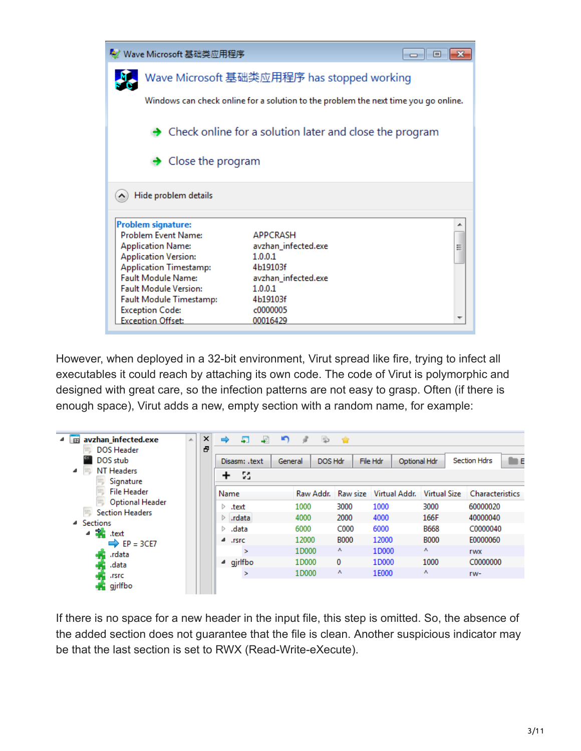| ↓ Wave Microsoft 基础类应用程序                                  |                                                                                     | $\Box$ |  |  |  |  |  |  |  |  |  |
|-----------------------------------------------------------|-------------------------------------------------------------------------------------|--------|--|--|--|--|--|--|--|--|--|
| Wave Microsoft 基础类应用程序 has stopped working                |                                                                                     |        |  |  |  |  |  |  |  |  |  |
|                                                           | Windows can check online for a solution to the problem the next time you go online. |        |  |  |  |  |  |  |  |  |  |
|                                                           | $\rightarrow$ Check online for a solution later and close the program               |        |  |  |  |  |  |  |  |  |  |
| $\rightarrow$ Close the program                           |                                                                                     |        |  |  |  |  |  |  |  |  |  |
| Hide problem details                                      |                                                                                     |        |  |  |  |  |  |  |  |  |  |
| <b>Problem signature:</b>                                 |                                                                                     |        |  |  |  |  |  |  |  |  |  |
| <b>Problem Event Name:</b>                                | <b>APPCRASH</b>                                                                     |        |  |  |  |  |  |  |  |  |  |
| <b>Application Name:</b>                                  | avzhan_infected.exe                                                                 |        |  |  |  |  |  |  |  |  |  |
| <b>Application Version:</b>                               | 1.0.0.1                                                                             |        |  |  |  |  |  |  |  |  |  |
| <b>Application Timestamp:</b>                             | 4b19103f                                                                            |        |  |  |  |  |  |  |  |  |  |
| <b>Fault Module Name:</b><br><b>Fault Module Version:</b> | avzhan_infected.exe<br>1.0.0.1                                                      |        |  |  |  |  |  |  |  |  |  |
|                                                           | 4b19103f                                                                            |        |  |  |  |  |  |  |  |  |  |
| <b>Fault Module Timestamp:</b><br><b>Exception Code:</b>  | c0000005                                                                            |        |  |  |  |  |  |  |  |  |  |
| <b>Exception Offset:</b>                                  | 00016429                                                                            |        |  |  |  |  |  |  |  |  |  |

However, when deployed in a 32-bit environment, Virut spread like fire, trying to infect all executables it could reach by attaching its own code. The code of Virut is polymorphic and designed with great care, so the infection patterns are not easy to grasp. Often (if there is enough space), Virut adds a new, empty section with a random name, for example:

| avzhan infected.exe<br>丽<br><b>DOS Header</b><br>DOS stub<br><b>NT Headers</b><br>◢<br>Signature | Ă | ×<br>Ð |                | 51<br>Disasm: .text<br>22 | -41 | n<br>General | š         | 吵<br>DOS Hdr | - 197       | File Hdr | Optional Hdr  |                     |  | <b>Section Hdrs</b>    | in E |
|--------------------------------------------------------------------------------------------------|---|--------|----------------|---------------------------|-----|--------------|-----------|--------------|-------------|----------|---------------|---------------------|--|------------------------|------|
| <b>File Header</b><br>Optional Header                                                            |   |        | Name           |                           |     |              | Raw Addr. |              | Raw size    |          | Virtual Addr. | <b>Virtual Size</b> |  | <b>Characteristics</b> |      |
| <b>Section Headers</b>                                                                           |   |        | ▷              | .text                     |     |              | 1000      |              | 3000        | 1000     |               | 3000                |  | 60000020               |      |
|                                                                                                  |   |        | ▷              | .rdata                    |     |              | 4000      |              | 2000        | 4000     |               | 166F                |  | 40000040               |      |
| <b>Sections</b><br>◢<br>▲ 諸<br>.text                                                             |   |        | .data<br>▷     |                           |     |              |           | 6000         |             | 6000     |               |                     |  | C0000040               |      |
| $EP = 3CE7$                                                                                      |   |        | $\overline{a}$ | .rsrc                     |     |              | 12000     |              | <b>B000</b> | 12000    |               | <b>B000</b>         |  | E0000060               |      |
| .rdata<br>$\bullet$                                                                              |   |        |                | $\geq$                    |     |              | 1D000     |              | v           | 1D000    |               | A                   |  | <b>TWX</b>             |      |
| .data                                                                                            |   |        | ┛              | gjrlfbo                   |     |              | 1D000     |              | 0           | 1D000    |               | 1000                |  | C0000000               |      |
| .rsrc                                                                                            |   |        |                | ×                         |     |              | 1D000     |              | ٨           | 1E000    |               | л                   |  | rw-                    |      |
| gjrlfbo                                                                                          |   |        |                |                           |     |              |           |              |             |          |               |                     |  |                        |      |

If there is no space for a new header in the input file, this step is omitted. So, the absence of the added section does not guarantee that the file is clean. Another suspicious indicator may be that the last section is set to RWX (Read-Write-eXecute).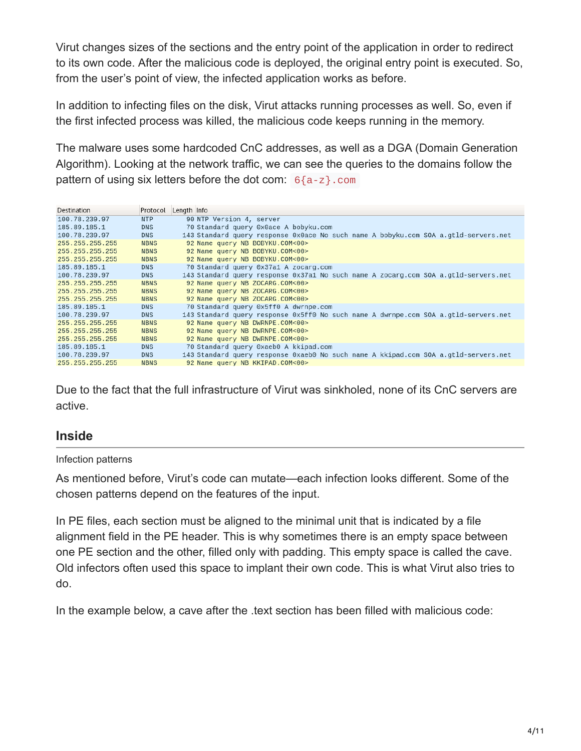Virut changes sizes of the sections and the entry point of the application in order to redirect to its own code. After the malicious code is deployed, the original entry point is executed. So, from the user's point of view, the infected application works as before.

In addition to infecting files on the disk, Virut attacks running processes as well. So, even if the first infected process was killed, the malicious code keeps running in the memory.

The malware uses some hardcoded CnC addresses, as well as a DGA (Domain Generation Algorithm). Looking at the network traffic, we can see the queries to the domains follow the pattern of using six letters before the dot com:  $6{a-z}$ .com

| Destination     | Protocol    | Length Info                                                                         |
|-----------------|-------------|-------------------------------------------------------------------------------------|
| 100.78.239.97   | <b>NTP</b>  | 90 NTP Version 4, server                                                            |
| 185.89.185.1    | <b>DNS</b>  | 70 Standard query 0x0ace A bobyku.com                                               |
| 100.78.239.97   | <b>DNS</b>  | 143 Standard query response 0x0ace No such name A bobyku.com SOA a.gtld-servers.net |
| 255.255.255.255 | <b>NBNS</b> | 92 Name query NB BOBYKU.COM<00>                                                     |
| 255.255.255.255 | <b>NBNS</b> | 92 Name query NB BOBYKU.COM<00>                                                     |
| 255.255.255.255 | <b>NBNS</b> | 92 Name query NB BOBYKU.COM<00>                                                     |
| 185.89.185.1    | <b>DNS</b>  | 70 Standard query 0x37a1 A zocarg.com                                               |
| 100.78.239.97   | <b>DNS</b>  | 143 Standard query response 0x37a1 No such name A zocarg.com SOA a.gtld-servers.net |
| 255.255.255.255 | <b>NBNS</b> | 92 Name query NB ZOCARG.COM<00>                                                     |
| 255.255.255.255 | <b>NBNS</b> | 92 Name query NB ZOCARG.COM<00>                                                     |
| 255.255.255.255 | <b>NBNS</b> | 92 Name query NB ZOCARG.COM<00>                                                     |
| 185.89.185.1    | <b>DNS</b>  | 70 Standard query 0x5ff0 A dwrnpe.com                                               |
| 100.78.239.97   | <b>DNS</b>  | 143 Standard query response 0x5ff0 No such name A dwrnpe.com SOA a.gtld-servers.net |
| 255.255.255.255 | <b>NBNS</b> | 92 Name query NB DWRNPE.COM<00>                                                     |
| 255.255.255.255 | <b>NBNS</b> | 92 Name query NB DWRNPE.COM<00>                                                     |
| 255.255.255.255 | <b>NBNS</b> | 92 Name query NB DWRNPE.COM<00>                                                     |
| 185.89.185.1    | <b>DNS</b>  | 70 Standard query 0xaeb0 A kkipad.com                                               |
| 100.78.239.97   | <b>DNS</b>  | 143 Standard query response 0xaeb0 No such name A kkipad.com SOA a.gtld-servers.net |
| 255.255.255.255 | <b>NBNS</b> | 92 Name query NB KKIPAD.COM<00>                                                     |
|                 |             |                                                                                     |

Due to the fact that the full infrastructure of Virut was sinkholed, none of its CnC servers are active.

#### **Inside**

#### Infection patterns

As mentioned before, Virut's code can mutate—each infection looks different. Some of the chosen patterns depend on the features of the input.

In PE files, each section must be aligned to the minimal unit that is indicated by a file alignment field in the PE header. This is why sometimes there is an empty space between one PE section and the other, filled only with padding. This empty space is called the cave. Old infectors often used this space to implant their own code. This is what Virut also tries to do.

In the example below, a cave after the .text section has been filled with malicious code: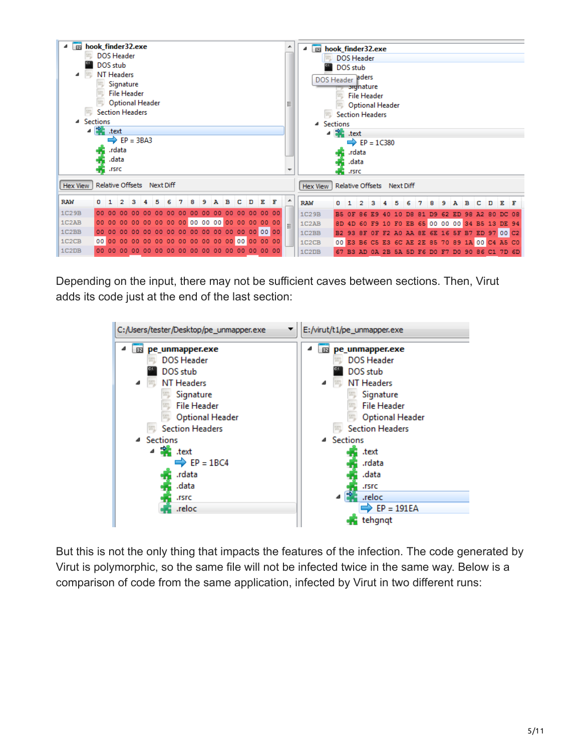

Depending on the input, there may not be sufficient caves between sections. Then, Virut adds its code just at the end of the last section:



But this is not the only thing that impacts the features of the infection. The code generated by Virut is polymorphic, so the same file will not be infected twice in the same way. Below is a comparison of code from the same application, infected by Virut in two different runs: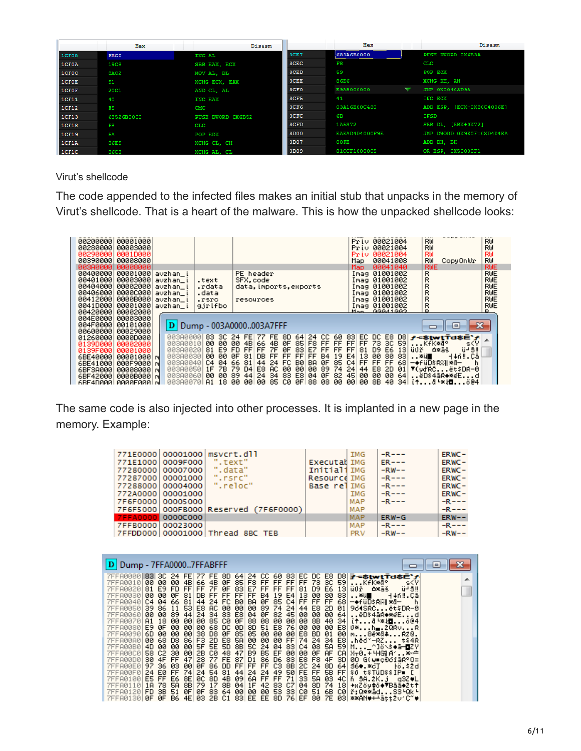|                                 | Hex         | Disasm               |                  | Hex            | Disasm                     |
|---------------------------------|-------------|----------------------|------------------|----------------|----------------------------|
| ICF08                           | <b>FECO</b> | INC AL               | 3CE7             | 683A6B0000     | PUSH DWORD OX6B3A          |
| $\overline{\phantom{a}}$ 1 CF0A | <b>19C8</b> | SBB EAX, ECX         | 3CEC             | F8.            | $_{\mathrm{CLC}}$          |
| 1CFOC                           | 8AC2        | MOV AL. DL           | 3CED             | 59             | POP ECX                    |
| $\blacksquare$ 1 CF0E           | 91          | <b>XCHG ECX. EAX</b> | 3CEE             | 86E6           | XCHG DH, AH                |
| 1CFOF                           | 20C1        | AND CL. AL           | 3CF <sub>0</sub> | E9A5000000     | JMP 0X00403D9A             |
| 1CF11                           | 40          | INC EAX              | 3CF5             | 41             | INC ECX                    |
| 1CF12                           | F5          | <b>CMC</b>           | 3CF6             | 03A16E00C480   | ADD ESP, [ECX+0X80C4006E]  |
| 1CF13                           | 68526B0000  | PUSH DWORD 0X6B52    | 3CFC             | 6D             | INSD                       |
| 1CF18                           | F8          | $_{\rm CLC}$         | 3CFD             | 1A5372         | SBB DL. [EBX+0X72]         |
| 1CF19                           | 5A          | POP EDX              | 3D00             | EAEAD4D4000F9E | JMP DWORD OX9EOF: OXD4D4EA |
| 1CF1A                           | 86E9        | XCHG CL. CH          | 3D07             | 00FE           | ADD DH, BH                 |
| $ 1$ CF1C                       | 86C8        | XCHG AL. CL          | 3D09             | 81CCF1000005   | OR ESP. 0X50000F1          |

Virut's shellcode

The code appended to the infected files makes an initial stub that unpacks in the memory of Virut's shellcode. That is a heart of the malware. This is how the unpacked shellcode looks:

| 00200000<br>00280000<br>002900001 | 00001000<br>00003000<br>0001D000 |                               |                      |                                                                                                                                   | Priu 00021004<br>Priu 00021004<br>Priu 00021004   | RW<br>RW<br>RW<br>RW<br>RW<br>RW |
|-----------------------------------|----------------------------------|-------------------------------|----------------------|-----------------------------------------------------------------------------------------------------------------------------------|---------------------------------------------------|----------------------------------|
| 003900001                         | 00008000                         |                               |                      |                                                                                                                                   | 00041008<br>Map                                   | RW<br>RW<br>CopyOnWr             |
| [803A8000                         | 000080001                        |                               |                      |                                                                                                                                   | 00041040<br>Map.                                  | <b>RWE</b><br>RWE                |
| 00400000                          |                                  | 00001000 avzhan_i             |                      | PE header                                                                                                                         | Imag 01001002                                     | RWE<br>R                         |
| 00401000                          | 00003000                         | avzhan_i                      | .text                | SFX.code                                                                                                                          | Imag 01001002                                     | R<br>RWE                         |
| 00404000                          |                                  | 00002000 avzhan_i             | .rdata               | data, imports, exports                                                                                                            | Imag 01001002                                     | R<br>RWE                         |
| 00406000                          | 000000001                        | avzhan_i                      | .data                |                                                                                                                                   | Imag 01001002                                     | R<br>RWE<br>R                    |
| 00412000<br>0041D000              | 00001000                         | 0000B000 avzhan_i<br>avzhan_i | .rsrc<br>gjrlfbo     | resources                                                                                                                         | Imag 01001002<br>Imag 01001002                    | RWE<br>RWE<br>R                  |
| 00420000                          | 00002000                         |                               |                      |                                                                                                                                   | $M \sim 200041002$                                | D.<br>в.                         |
| 004E0000                          | 00003000                         |                               |                      |                                                                                                                                   |                                                   |                                  |
| 004F0000                          | 00101000                         |                               |                      | D Dump - 003A0000003A7FFF                                                                                                         |                                                   | ıн                               |
| 00600000                          | 00029000                         |                               |                      |                                                                                                                                   |                                                   |                                  |
| 01260000                          | 00000000                         | 00300000                      |                      | 83 30 24 FE 77 FE 8D 64 24 CC 60 83 EC DC E8 D8 $r$ -stwtTasE'r                                                                   |                                                   |                                  |
| 0139D0001                         | 000020001                        |                               |                      | 003A0010  <b>00 00 00 4B</b>  66 <b>4B 0F 85 F8 FF FF FF FF 73 3C 59 KfK*@°</b>                                                   |                                                   | s <y< th=""></y<>                |
| 0139F000                          | 00001000                         | 003A00201                     |                      | 81 E9 FD FF FF 7F 0F 83 E7 FF FF FF 81 D9 E6 13 ü0ř 0*äš<br>00380030  <b>00 00 0F 81 DB FF FF FF FF B4 19 E4 13 00 80 83 </b> ※ü∎ |                                                   | ü⊣ S‼<br>H∔n‼.Cāl                |
| 6BE40000<br>6BE41000              | 00001000 m<br>000F9000 m         |                               | 00380040 C4 04 66 81 |                                                                                                                                   | 44 24 FC B0 BA 0F 85 C4 FF FF FF 68 - + FUDSR 24- |                                  |
| 6BF3A000                          | 00008000 M                       |                               | 003A0050 1F 7B 79 D4 | E8 AC 00 00 00 89 74 24 44 E8 2D                                                                                                  |                                                   | 01 ▼(yďRCët\$DR-0                |
| 6BF42000                          | 0000B000 M                       |                               |                      | 003A0060  <b>00 00 89 44 24 34 83 E8 04 0F 82 45 00 00 00 64 ĕD\$4āR♦*eEd</b>                                                     |                                                   |                                  |
| <b>ARE4D000L</b>                  | GGGGEGGGL M                      | 883988781                     |                      | . Q1 _18 да да∣да 85 CG дЕ∣88 д8 да да∣да 88 40 34∣ i+8-жи⊟,ö04                                                                   |                                                   |                                  |

The same code is also injected into other processes. It is implanted in a new page in the memory. Example:

|                   |                   | 771E0000 00001000 msvcrt.dll          |              | IMG        | $-R$ – – – | $ERWC -$   |
|-------------------|-------------------|---------------------------------------|--------------|------------|------------|------------|
| 771E1000 0009F000 |                   | ".text"                               | Executal IMG |            | $ER---$    | $ERWC -$   |
| 77280000 00007000 |                   | ".data"                               | InitialiIMG  |            | $-RW--$    | $ERWC -$   |
| 77287000 00001000 |                   | ".rsrc"                               | Resource IMG |            | $-R$ - - - | $ERWC -$   |
| 77288000 00004000 |                   | ".reloc"                              | Base relimG  |            | $-R$ ---   | $ERWC -$   |
| 772A0000 00001000 |                   |                                       |              | IMG        | $-R$ ---   | $ERWC -$   |
| 7F6F0000 00005000 |                   |                                       |              | MAP        | $-R$ - - - | $-R---$    |
|                   |                   | 7F6F5000 000FB000 Reserved (7F6F0000) |              | MAP        |            | $-R$ - - - |
|                   | 7FFA0000 0000C000 |                                       |              | <b>MAP</b> | $ERW-G$    | $ERW--$    |
| 7FFB0000 00023000 |                   |                                       |              | MAP        | $-R = -$   | $-R$ $ -$  |
|                   |                   | 7FFDD000 00001000 Thread 8BC TEB      |              | <b>PRV</b> | $-RW--$    | $-RW--$    |

| D Dump - 7FFA00007FFABFFF   |  |                                                                                                                                                                                                                                                                                                                                                                                                                                                                                                                                                                                                                                                                                                                                                                                                                                                                                                                                                                                                                                                                                                                                                                                                                                                                                                                                                                                                                                                                                                                                                                                                                      |           |  |  |  |  |  |  |  |  |  |  |  |
|-----------------------------|--|----------------------------------------------------------------------------------------------------------------------------------------------------------------------------------------------------------------------------------------------------------------------------------------------------------------------------------------------------------------------------------------------------------------------------------------------------------------------------------------------------------------------------------------------------------------------------------------------------------------------------------------------------------------------------------------------------------------------------------------------------------------------------------------------------------------------------------------------------------------------------------------------------------------------------------------------------------------------------------------------------------------------------------------------------------------------------------------------------------------------------------------------------------------------------------------------------------------------------------------------------------------------------------------------------------------------------------------------------------------------------------------------------------------------------------------------------------------------------------------------------------------------------------------------------------------------------------------------------------------------|-----------|--|--|--|--|--|--|--|--|--|--|--|
| 7FFA0020181<br>7FFA00701 A1 |  | 7FFA0000 83 3C 24 FE 77 FE 8D 64 24 CC 60 83 EC DC E8 D8  <del>P =\$twtTa\$Ē`/</del><br>7FFA0010 00 00 00 4B 66 4B 0F 85 F8 FF FF FF FF 73 3C 59 KfK*d° s <y <br>E9 FD FF FF 7F 0F 83 E7 FF FF FF 81 D9 E6 13 ü0¥   △*äš   ü-'S‼  <br/>7FFA0030 00 00 0F 81 DB FF FF FF FF B4 19 E4 13 00 80 83 *wi∎<br/>7FFA0040 C4 04 66 81 44 24 FC B0 BA 0F 85 C4 FF FF FF 68 -+fuD\$R% * 8-<br/>7FFA0050 39 86 11 53 E8 AC 00 00 00 89 74 24 44 E8 2D 01 964SRCët\$DR-0 <br/>7FFA0060 <b>00 00 89 44 24 34 83 E8 04 0F 82 45 00 00 00 64 ëD\$4āR♦*@Ed</b><br/>18 00 00 00 05 C0 0F 88 08 00 00 00 8B 40 34 it0 <math>\cdot</math> * HD604<br/>7FFA0080 E9 0F 00 00 00 68 DC 0D 8D 51 E8 76 00 00 00 E8 U*h■.2QRvR <br/>7FFA0090 6D 00 00 00 38 D8 0F 85 05 00 00 00 E8 BD 01 00 m8ĕ*d≇R28.<br/>7FFA00A0 00 68 D8 86 F3 2D E8 5A 00 00 00 FF 74 24 34 E8 .hěc~-RZ t\$4R<br/>7FFA00B0 4D 00 00 00 5F 5E 5D 8B 5C 24 04 83 C4 08 5A 59 M_^]ö\\$♦ā—<mark>d</mark>ZY<br/>7FFA00C0 58 C2 30 00 2B C0 48 47 B9 B5 EF 00 00 0F AF CA X<del>,</del>0.+4HG A′*<br/>7FRA0000 30 4F FF 47 28 77 FE 87 D1 86 D6 83 E8 F8 4F 3D 00 G(w=c0cfaR°O=)<br/>7FRA00E0 97 36 03 00 0F 86 DD FF FF FF C3 8B 2C 24 8D 64 36● ※cT - ⊦0,\$2d<br/>7FRA00F0 24 E0 FF 74 24 54 81 44 24 24 49 50 FE FF 5B FF \$0 t\$TWD\$\$IP.<br/>?FFA0100 ES FF E6 8E 0C 8D 4B 09 6A FF FF 71 33 5A 03 4C n 3A.2K.} 'q3z♦L<br/>?FFA0110 1A 78 5A 8B 79 17 8B 04 1F 42 83 C7 04 8D 74 18 →xZŏy‡ŏ◆▼Bāā◆2t↑<br/>?FFA0120 FD 3B 51 0F 0F 83 64 00 00 00 53 33 C0 51 6B C0 ř;Q**ådS3'Qk'<br/>7FFA0130 0F 0F B6 4E 03 2B C1 83 EE EE 8D 76 EF 80 7E 03 **AN♥++ätt2v1C~♥ </y <br> | H+nil.Cal |  |  |  |  |  |  |  |  |  |  |  |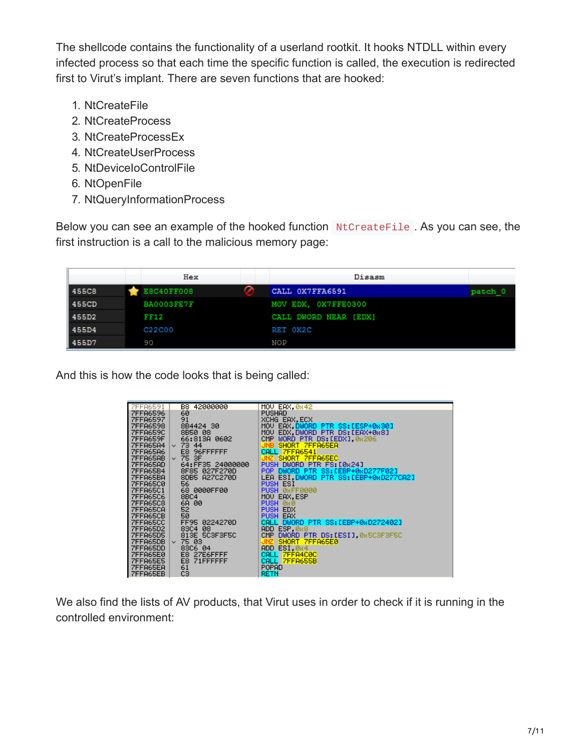The shellcode contains the functionality of a userland rootkit. It hooks NTDLL within every infected process so that each time the specific function is called, the execution is redirected first to Virut's implant. There are seven functions that are hooked:

- 1. NtCreateFile
- 2. NtCreateProcess
- 3. NtCreateProcessEx
- 4. NtCreateUserProcess
- 5. NtDeviceIoControlFile
- 6. NtOpenFile
- 7. NtQueryInformationProcess

Below you can see an example of the hooked function NtCreateFile . As you can see, the first instruction is a call to the malicious memory page:

|         | Hex         |   | Disasm                |         |
|---------|-------------|---|-----------------------|---------|
| I 455C8 | E8C40FF008  | ↷ | CALL OX7FFA6591       | patch 0 |
| 1455CD  | BA0003FE7F  |   | MOV EDX, OX7FFE0300   |         |
| 455D2   | <b>FF12</b> |   | CALL DWORD NEAR [EDX] |         |
| l 455D4 | C22C00      |   | RET 0X2C              |         |
| 455D7   | 90          |   | <b>NOP</b>            |         |

And this is how the code looks that is being called:

| 7FF86591<br>7FF86596<br>7FF86597 | B8 42000000      | MOU EAX, 0x42                             |
|----------------------------------|------------------|-------------------------------------------|
|                                  | 60               | <b>PUSHAD</b>                             |
|                                  | 91               | XCHG EAX.ECX                              |
|                                  | 8B4424 30        | MOV EAX, DWORD PTR SS: [ESP+0x30]         |
| 7FFA6598<br>7FFA659C<br>7FFA659F | 8B50 08          | MOV EDX.DWORD PTR DS:[EAX+0x8]            |
|                                  | 66:813A 0602     | CMP WORD PTR DS: [EDX], 0x206             |
|                                  | $~\vee$ 73 44    | SHORT 7FFA65EA<br><b>JNB</b>              |
| 7FFA65A4                         | E8 96FFFFFF      | CALL 7FFA6541                             |
| <b>7FFA65AB</b>                  | $~\vee$ 75 3F    | SHORT 7FFA65EC                            |
| 7FFA65AD                         | 64:FF35 24000000 | PUSH DWORD PTR FS: [0x24]                 |
|                                  | 8F85 027F270D    | POP DWORD PTR SS:[EBP+0xD277F02]          |
|                                  | 8DB5 A27C270D    | LEA ESI.DWORD PTR SS: [EBP+0xD277CA2]     |
| 7FFA65BA<br>7FFA65C0<br>7FFA65C1 | 56               | <b>PUSH ESI</b>                           |
|                                  | 68 0000FF00      | PUSH ØRFFØ000                             |
|                                  | 8BC4             | MOU EAX.ESP                               |
| 7FFA65C6<br>7FFA65C8<br>7FFA65CA | 6A 00            | <b>PUSH</b><br>-0x0<br><b>PUSH</b><br>EDX |
| 7FFA65CB                         | 52<br>50         | PUSH EAX                                  |
| 7FFA65CC                         | FF95 0224270D    | CALL DWORD PTR SS:[EBP+0xD272402]         |
| 7FFA65D2                         | 83C4 08          | ADD ESP, 0x8                              |
| <b>7FFA65D5</b>                  | 813E 5C3F3F5C    | CMP DWORD PTR DS:[ESI] 0x5C3F3F5C         |
| 7FFA65DB                         | $~\vee$ 75 03    | SHORT 7FFA65E0<br>UNZ.                    |
| ZEEA65DD                         | 83C6 04          | <b>ADD</b><br>ESI, 0x4                    |
| <b>7FFA65E0</b>                  | E8 27E6FFFF      | <b>CALL</b><br><b>7FFA4C0C</b>            |
| <b>7FFA65E5</b>                  | E8<br>71FFFFFFF  | CALL 7FFA655B                             |
| 7FFA65EA                         | 61               | POPAD                                     |
| 7FFA65EB                         | CЗ               | RETN                                      |

We also find the lists of AV products, that Virut uses in order to check if it is running in the controlled environment: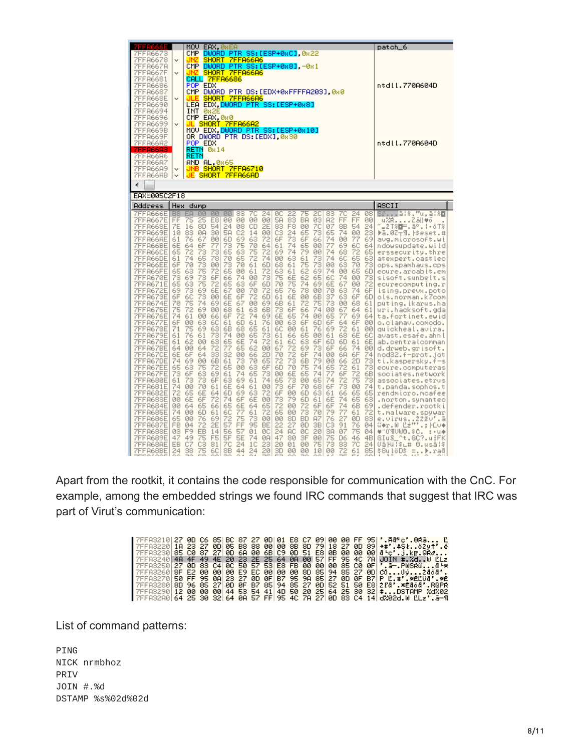| 7111333                                                                                                                                                                                                                                                                                                                                                                                                                                                                            |                                                                                                                                                                                                                                                             |                                                                                                                                                                                                                                                                                                |                                                                                                                                                                                                                                         | MOU EAX, ØREA                                                                                                                                                                                                                                         |                                                                                                                                                                                                                                   |                                                                                                                                                                                                                                                                        |                                                                                                                                                                                                                                                |                                                                                                                                                                                                                                                         |                                                                                                                                                                                                                                                      |                                                                                                                                                                                                                                                |                                                                                                                                                                                                                                                                     |                                                                                                                                                                                                                                                |                                                                                                                                                                                                                                                |                                                                                                                                                                                                                                       |                                                                                                                                                                                                                                                |                                                                                                                                                                                                                             | patch_6                                                                                                                                                                                                                                                                                                                                                                                                                                                                                                                                                                                                                                                                                                                                                                                                                             |
|------------------------------------------------------------------------------------------------------------------------------------------------------------------------------------------------------------------------------------------------------------------------------------------------------------------------------------------------------------------------------------------------------------------------------------------------------------------------------------|-------------------------------------------------------------------------------------------------------------------------------------------------------------------------------------------------------------------------------------------------------------|------------------------------------------------------------------------------------------------------------------------------------------------------------------------------------------------------------------------------------------------------------------------------------------------|-----------------------------------------------------------------------------------------------------------------------------------------------------------------------------------------------------------------------------------------|-------------------------------------------------------------------------------------------------------------------------------------------------------------------------------------------------------------------------------------------------------|-----------------------------------------------------------------------------------------------------------------------------------------------------------------------------------------------------------------------------------|------------------------------------------------------------------------------------------------------------------------------------------------------------------------------------------------------------------------------------------------------------------------|------------------------------------------------------------------------------------------------------------------------------------------------------------------------------------------------------------------------------------------------|---------------------------------------------------------------------------------------------------------------------------------------------------------------------------------------------------------------------------------------------------------|------------------------------------------------------------------------------------------------------------------------------------------------------------------------------------------------------------------------------------------------------|------------------------------------------------------------------------------------------------------------------------------------------------------------------------------------------------------------------------------------------------|---------------------------------------------------------------------------------------------------------------------------------------------------------------------------------------------------------------------------------------------------------------------|------------------------------------------------------------------------------------------------------------------------------------------------------------------------------------------------------------------------------------------------|------------------------------------------------------------------------------------------------------------------------------------------------------------------------------------------------------------------------------------------------|---------------------------------------------------------------------------------------------------------------------------------------------------------------------------------------------------------------------------------------|------------------------------------------------------------------------------------------------------------------------------------------------------------------------------------------------------------------------------------------------|-----------------------------------------------------------------------------------------------------------------------------------------------------------------------------------------------------------------------------|-------------------------------------------------------------------------------------------------------------------------------------------------------------------------------------------------------------------------------------------------------------------------------------------------------------------------------------------------------------------------------------------------------------------------------------------------------------------------------------------------------------------------------------------------------------------------------------------------------------------------------------------------------------------------------------------------------------------------------------------------------------------------------------------------------------------------------------|
| 7FFA6673<br>7FFA6678<br>7FFA667A<br>7FFA667F<br>7FFA6681<br>7FFA6686<br>7FFA6687<br>7FFA668E<br>7FFA6690<br>7FFA6694<br>7FFA6696                                                                                                                                                                                                                                                                                                                                                   | v<br>v<br>$\checkmark$                                                                                                                                                                                                                                      | DWORD PTR SS:[ESP+0xC],0x22<br>CMP.<br>SHORT 7FFA66A6<br>. INZ<br>CMP<br>DWORD PTR SS:[ESP+0x8],-0x1<br>SHORT 7FFA66A6<br>JNZ.<br>CALL 7FFA6686<br>POP EDX<br>CMP DWORD PTR DS:[EDX+0xFFFFA203] 0x0<br>SHORT 7FFA66A6<br>JLE<br>LEA EDX DWORD PTR SS:[ESP+0x8]<br>INT<br>-0x2E<br>CMP EAX, 0x0 |                                                                                                                                                                                                                                         |                                                                                                                                                                                                                                                       |                                                                                                                                                                                                                                   |                                                                                                                                                                                                                                                                        |                                                                                                                                                                                                                                                |                                                                                                                                                                                                                                                         |                                                                                                                                                                                                                                                      |                                                                                                                                                                                                                                                |                                                                                                                                                                                                                                                                     |                                                                                                                                                                                                                                                |                                                                                                                                                                                                                                                | ntdll.770A604D                                                                                                                                                                                                                        |                                                                                                                                                                                                                                                |                                                                                                                                                                                                                             |                                                                                                                                                                                                                                                                                                                                                                                                                                                                                                                                                                                                                                                                                                                                                                                                                                     |
| 7FFA669B<br>7FFA669F<br>7FFA66A2<br>7FFA66A3<br>7FFA66A6<br>7FFA66A7<br>7FFA66A9<br>7FFA66AB                                                                                                                                                                                                                                                                                                                                                                                       | 7FFA6699<br><mark>JL SHORT 7FFA66A2</mark><br>MOV EDX, <mark>DWORD PTR SS:[ESP+0x10]</mark><br>v<br>OR DWORD PTR DS:[EDX] 0x30<br>POP EDX<br><b>RETN 0x14</b><br>RETN<br>AND AL,0x65<br><b>JNB SHORT 7FFA6710</b><br>v<br>JE SHORT 7FFA66AD<br>$\checkmark$ |                                                                                                                                                                                                                                                                                                |                                                                                                                                                                                                                                         |                                                                                                                                                                                                                                                       |                                                                                                                                                                                                                                   |                                                                                                                                                                                                                                                                        |                                                                                                                                                                                                                                                |                                                                                                                                                                                                                                                         |                                                                                                                                                                                                                                                      |                                                                                                                                                                                                                                                |                                                                                                                                                                                                                                                                     |                                                                                                                                                                                                                                                |                                                                                                                                                                                                                                                |                                                                                                                                                                                                                                       | ntdll.770A604D                                                                                                                                                                                                                                 |                                                                                                                                                                                                                             |                                                                                                                                                                                                                                                                                                                                                                                                                                                                                                                                                                                                                                                                                                                                                                                                                                     |
| EAX=005C2F18                                                                                                                                                                                                                                                                                                                                                                                                                                                                       |                                                                                                                                                                                                                                                             |                                                                                                                                                                                                                                                                                                |                                                                                                                                                                                                                                         |                                                                                                                                                                                                                                                       |                                                                                                                                                                                                                                   |                                                                                                                                                                                                                                                                        |                                                                                                                                                                                                                                                |                                                                                                                                                                                                                                                         |                                                                                                                                                                                                                                                      |                                                                                                                                                                                                                                                |                                                                                                                                                                                                                                                                     |                                                                                                                                                                                                                                                |                                                                                                                                                                                                                                                |                                                                                                                                                                                                                                       |                                                                                                                                                                                                                                                |                                                                                                                                                                                                                             |                                                                                                                                                                                                                                                                                                                                                                                                                                                                                                                                                                                                                                                                                                                                                                                                                                     |
| Address                                                                                                                                                                                                                                                                                                                                                                                                                                                                            |                                                                                                                                                                                                                                                             | Hex dump                                                                                                                                                                                                                                                                                       |                                                                                                                                                                                                                                         |                                                                                                                                                                                                                                                       |                                                                                                                                                                                                                                   |                                                                                                                                                                                                                                                                        |                                                                                                                                                                                                                                                |                                                                                                                                                                                                                                                         |                                                                                                                                                                                                                                                      |                                                                                                                                                                                                                                                |                                                                                                                                                                                                                                                                     |                                                                                                                                                                                                                                                |                                                                                                                                                                                                                                                |                                                                                                                                                                                                                                       |                                                                                                                                                                                                                                                |                                                                                                                                                                                                                             | ASCII                                                                                                                                                                                                                                                                                                                                                                                                                                                                                                                                                                                                                                                                                                                                                                                                                               |
| 7FFA666E<br>7FFA667E<br>7FFA668E<br>7FFA669E<br>7FFA66AE<br>7FFA66BE<br>7FFA66CE<br>7FFA66DE<br>7FFA66EE<br>7FFA66FE<br>7FFA670E<br>7FFA671E<br>7FFA672E<br>7FFA673E<br>7FFA674E<br>7FFA675E<br>7FFA676E<br>7FFA677E<br><b>7FFA678E</b><br>7FFA679E<br>7FFA67AE<br>7FFA67BE<br>7FFA67CE<br>7FFA67DE<br>7FFA67EE<br>7FFA67FE<br>7FFA680E<br>7FFA681E<br>7FFA682E<br>7FFA683E<br>7FFA684E<br>7FFA685E<br>7FFA686E<br><b>7FFA687E</b><br>7FFA688E<br>7FFA689E<br>7FFA68AE<br>7FFA68BE | B <sub>8</sub><br>FF<br>7E<br>10<br>61<br>6E<br>65<br>61<br>6F<br>65<br>73<br>65<br>69<br>6F<br>70<br>75<br>74<br>6F<br>71<br>61<br>61<br>64<br>6E<br>74<br>65<br>73<br>61<br>74<br>72<br>00<br>00<br>74<br>65<br><b>FB</b><br>ØЗ<br>47<br>EB.<br>24        | EA<br>75<br>16<br>83<br>76<br>64<br>72<br>74<br>70<br>63<br>69<br>63<br>ŽЗ<br>6C<br>75<br>72<br>61<br>00<br>75<br>76<br>62<br><b>ØØ</b><br>6F<br>-69<br>63<br>6F<br>73<br><b>ØØ</b><br>65<br>6E<br>64<br>00<br>00<br>04<br>F <sub>9</sub><br>49<br>C7<br>38                                    | 00<br>25<br>8D<br>ØA<br>67<br>6F<br>73<br>65<br>73<br>75<br>73<br>75<br>69<br>73<br>74<br>69<br>00<br>63<br>69<br>61<br>00<br>64<br>64<br>00<br>75<br>63<br>73<br>70<br>6E<br>6F<br>65<br>6D<br>76<br>72<br><b>EB</b><br>75<br>C3<br>75 | 00<br>E8<br>54<br>30<br>00<br>77<br>73<br>78<br><b>ØØ</b><br>72<br>6F<br>72<br>6E<br><b>ØØ</b><br>69<br><b>ØØ</b><br>66<br>6C<br>63<br>73<br>63<br>72<br>33<br>6B<br>72<br>69<br>6F<br>61<br>64<br>72<br>66<br>61<br>69<br>2E<br>14<br>F5<br>81<br>60 | 0Ø<br>$\frac{24}{50}$<br>6D<br>73<br>65<br>70<br>73<br>65<br>66<br>65<br>67<br>6E<br>6E<br>68<br>6F<br>61<br>6B<br>74<br>65<br>77<br>32<br>61<br>65<br>61<br>63<br>6E<br>6D<br>74<br>65<br>6C<br>72<br>57<br>56<br>5F<br>7C<br>8B | 00 83<br><b>ØØ</b><br>08<br>C2<br>69<br>75<br>63<br>65<br>70<br><b>ØØ</b><br>74<br>63<br><b>ØØ</b><br>6F<br>67<br>61<br>72<br>6D<br>68<br>00<br>6E<br>65<br><b>ØØ</b><br>73<br><b>ØØ</b><br>74<br>69<br>64<br>69<br>6F<br>6E<br>77<br>75<br>FF<br>57<br>5E<br>24<br>44 | 7C<br><b>ØØ</b><br>CD<br>14<br>63<br>70<br>75<br>72<br>61<br>61<br><b>ØØ</b><br>6F<br>70<br>72<br>00<br>63<br>74<br>61<br>65<br>65<br>74<br>62<br>66<br>70<br>63<br>65<br>61<br>61<br>63<br>6E<br>64<br>61<br>73<br>95<br>01<br>74<br>1C<br>24 | 24<br><b>ØØ</b><br>2E<br>00<br>72<br>64<br>72<br>74<br>6D.<br>72<br>73<br>6D<br>72<br>6D<br>69<br>6B<br>69<br>761<br>61<br>73<br>72<br>00<br>2D<br>65<br>6F<br>73<br>74<br><b>ØØ</b><br>72<br><b>ØØ</b><br>65<br>72<br>00<br>BE<br>ØC<br>ØA<br>23<br>20 | ØC<br><b>5A</b><br>83<br>C <sub>3</sub><br>6F<br>61<br>69<br>00<br>68<br>63<br>75<br>70<br>65<br>61<br>6B<br>73<br>6E<br>ØØ.<br>60<br>61<br>61<br>67<br>70<br>72<br>6D<br>00<br>65<br>73<br>6F<br>73<br>72<br>65<br>00<br>22<br>24<br>47<br>20<br>3D | 22<br>83<br>F8<br>24<br>73<br>74<br>74<br>63<br>61<br>61<br>6E<br>75<br>76<br>6E<br>61<br>6F<br>65<br>63<br>00<br>66<br>60<br>72<br>72<br>73<br>70<br>6E<br>73<br>6F<br>00<br>79<br>00<br><b>ØØ</b><br>8D<br>27<br><b>AC</b><br>80<br>01<br>øø | 75<br><b>BA</b><br>00<br>65<br>6F<br>65<br>79<br>61<br>75<br>62<br>62<br>74<br>78<br><b>ØØ</b><br>72<br>66<br>74<br>6F<br>61<br>65<br>63<br>69<br>6F<br>6B<br>75<br>65<br>00<br>70<br>6D<br>6D<br>72<br>73<br><b>BD</b><br>ØD<br>ØC<br>3F<br><b>ØØ</b><br><b>ØØ</b> | 20<br>03<br>7C<br>ŻЗ<br>66<br>00<br>00<br>73<br>73<br>69<br>65<br>69<br><b>ØØ</b><br>6B<br>75<br>74<br>00<br>6D<br>76<br>00<br>6F<br>73<br>74<br>79<br>74<br>74<br>65<br>68<br>63<br>61<br>6F<br>70<br><b>A7</b><br>3B<br>20<br>00<br>75<br>10 | 83<br>A2<br>07<br>65<br>74<br>77<br>74<br>74<br><b>ØØ</b><br>74<br>6C<br>6E<br>70<br>37<br>73<br>ЙЙ<br>65<br>6F<br>69<br>61<br>6D<br>6F<br>00<br>00<br>65<br>77<br>74<br>6F<br>61<br>6E<br>6F<br>79<br>$\frac{76}{C3}$<br>3A<br>75<br>73<br>00 | 7C<br>FF<br>8B<br>74<br>00<br>69<br>68<br>6C<br>63<br>00<br>74<br>67<br>63<br>63<br>00<br>67<br>77<br>64<br>72<br>68<br>6D<br>66<br>6A<br>-66<br>72<br>6F<br>72<br>73<br>66<br>74<br>74 6B<br>77<br>27<br>91<br>07<br>D6<br>-83<br>72 | 24<br>FF<br>54<br>- 00<br>77<br>-6C<br>72<br>65<br>70<br>65<br><b>ØØ</b><br>00<br>74<br>6F<br>68<br>64<br>69<br>-6F<br>61<br>6E<br>-61<br>74<br>6F<br>2D<br>61<br>72<br>75<br><b>ØØ</b><br>65<br>-65<br>61<br>ØD<br>76<br>75<br>46<br>7C<br>61 | 08<br>øø<br>24<br>23<br>69<br>64<br>65<br>63<br>73<br>6D<br>73<br>72<br>6F<br>6D<br>61<br>61<br>64<br>00<br>6C<br>6E<br>00<br>74<br>73<br>73<br>6B<br>73<br>74<br>65<br>63<br>69<br>72<br>83<br>04<br>04<br>4B<br>241<br>85 | Sřă¦\$."u,ā¦\$ <mark>o</mark><br>u%ŔZā∥♥ó<br>$\sigma$<br>L2T\$ <mark>B</mark> F.ãº.¦∙õT\$<br>▶ā.0Z┬¶.⊦\$eset.#<br>avg.microsoft.wi<br>ndowsupdate.wild<br>erssecurity.thre<br>atexpert.castlec<br>ops.spamhaus.cps<br>ecure.arcabit.em<br>sisoft.sunbelt.s<br>ecurecomputing.r<br>ising.prevx.pcto<br>ols.norman.k7com<br>puting.ikarus.ha<br>uri.hacksoft.gda<br>ta.fortinet.ewid<br>00 o.clamav.comodo.<br>quickheal.avira.<br>avast.esafe.ahnl<br>ab.centralcomman<br>d.drweb.grisoft.<br>nod32.f-prot.jot<br>ti.kaspersky.f-s<br>ecure.computeras<br>sociates.network<br>associates.etrus<br>t.panda.sophos.t<br>rendmicro.mcafee<br>.norton.symantec<br>.defender.rootki<br>t.malware.spywar<br>e.virus2220'.ā<br>ű⊕r.W Ľá™.; HLve<br>♥~09UW8.\$C.<br>- ± ∗u ol<br>GIuS_^t.GC?.uiFK<br>0ā Hil\$L# 0.usā!\$<br>\$8ulöD\$ =▶.rađ |

Apart from the rootkit, it contains the code responsible for communication with the CnC. For example, among the embedded strings we found IRC commands that suggest that IRC was part of Virut's communication:

|  |  |  |  |  |  |  |  | [7FFA3210  <b>27 0D C6 85 BC 87 27 0D 01 E8 C7 09 00 00 FF 95 '.Aď c'.OŔā</b> Ľ    |
|--|--|--|--|--|--|--|--|------------------------------------------------------------------------------------|
|  |  |  |  |  |  |  |  | 7FFA3220L1A 23 27 0DL05 B8 88 00L00 8B 8D 79L18 27 0D 89L→#'.\$Słö2y†'.ë           |
|  |  |  |  |  |  |  |  | 7FFA3230 85 C0 87 27 0D 6A 00 6B C9 0D 51 E8 0B 00 00 00 đ'c'.j.k <b>r.QR∂</b>     |
|  |  |  |  |  |  |  |  | 7FFA3240 4A 4F 49 4E 20 23 2E 25 64 0A 00 57 FF 95 4C 7A JOIN #.%dW LLz            |
|  |  |  |  |  |  |  |  | .4. 7 PWSR4, 19 D 83 C4 0C 50 57 53 E8 FB 00 00 00 85 C0 0F . ق-PWSR4, 1           |
|  |  |  |  |  |  |  |  | 7FFA3260  <b>8F E2 00 00 00 E9 EC 00 00 00 8D 85 94 85 27 0D cõUÿ2äöä'.</b>        |
|  |  |  |  |  |  |  |  | 17FFA3270 50 FF 95 0A 23 27 0D 0F B7 95 9A 85 27 0D 0F B7 P L.#'.*ÊLüä'.*Ê         |
|  |  |  |  |  |  |  |  | 17FFA32801 <b>8D 96 85 2710D 0F B7 85194 85 27 0D152 51 50 E812ľđ'.*Éđöđ'.RQPR</b> |
|  |  |  |  |  |  |  |  | 7FFA3290 12 00 00 00 44 53 54 41 4D 50 20 25 64 25 30 32 ≑DSTAMP %d%02             |
|  |  |  |  |  |  |  |  | 7FFA32A0 64 25 30 32 64 0A 57 FF 95 4C 7A 27 0D 83 C4 14 d%02d.W LLz'.à—¶          |

List of command patterns:

PING NICK nrmbhoz PRIV JOIN #.%d DSTAMP %s%02d%02d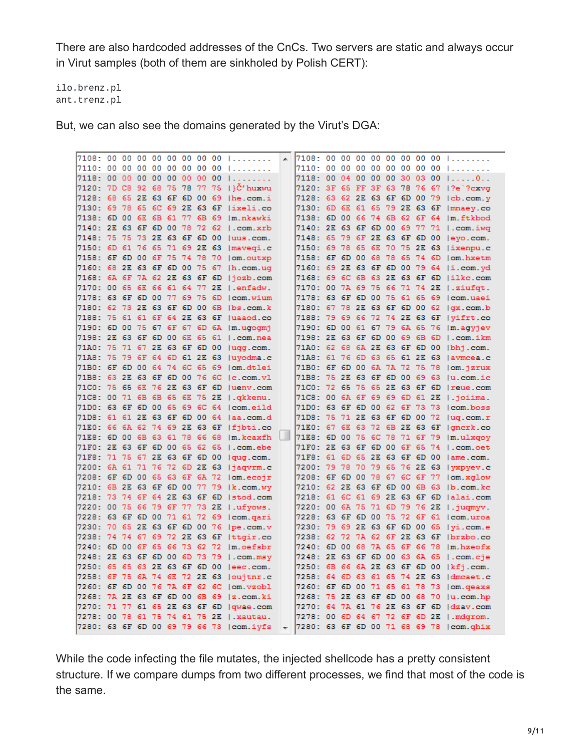There are also hardcoded addresses of the CnCs. Two servers are static and always occur in Virut samples (both of them are sinkholed by Polish CERT):

ilo.brenz.pl ant.trenz.pl

But, we can also see the domains generated by the Virut's DGA:

|  |  |  |  | 7108: 00 00 00 00 00 00 00 00             | $\overline{a}$ |  |  |  |  | 7108: 00 00 00 00 00 00 00 00 1            |
|--|--|--|--|-------------------------------------------|----------------|--|--|--|--|--------------------------------------------|
|  |  |  |  | 7110: 00 00 00 00 00 00 00 00             |                |  |  |  |  | 7110: 00 00 00 00 00 00 00 00              |
|  |  |  |  | 7118: 00 00 00 00 00 00 00 00             |                |  |  |  |  | 7118: 00 04 00 00 00 30 03 00  0           |
|  |  |  |  | 7120: 7D C8 92 68 75 78 77 75  }Č'huxwu   |                |  |  |  |  | 7120: 3F 65 FF 3F 63 78 76 67   ?e ?cxvq   |
|  |  |  |  | 7128: 68 65 2E 63 6F 6D 00 69   he.com.i  |                |  |  |  |  | 7128: 63 62 2E 63 6F 6D 00 79   cb.com.y   |
|  |  |  |  | 7130: 69 78 65 6C 69 2E 63 6F lixeli.co   |                |  |  |  |  | 7130: 6D 6E 61 65 79 2E 63 6F   mnaey.co   |
|  |  |  |  | 7138: 6D 00 6E 6B 61 77 6B 69 im.nkawki   |                |  |  |  |  | 7138: 6D 00 66 74 6B 62 6F 64  m.ftkbod    |
|  |  |  |  | 7140: 2E 63 6F 6D 00 78 72 62 1.com.xrb   |                |  |  |  |  | 7140: 2E 63 6F 6D 00 69 77 71   .com.iwq   |
|  |  |  |  | 7148: 75 75 73 2E 63 6F 6D 00  uus.com.   |                |  |  |  |  | 7148: 65 79 6F 2E 63 6F 6D 00 levo.com.    |
|  |  |  |  | 7150: 6D 61 76 65 71 69 2E 63   mavegi.c  |                |  |  |  |  | 7150: 69 78 65 6E 70 75 2E 63  ixenpu.c    |
|  |  |  |  | 7158: 6F 6D 00 6F 75 74 78 70   om. outxp |                |  |  |  |  | 7158: 6F 6D 00 68 78 65 74 6D 1om.hxetm    |
|  |  |  |  | 7160: 68 2E 63 6F 6D 00 75 67   h.com.ug  |                |  |  |  |  | 7160: 69 2E 63 6F 6D 00 79 64  i.com.yd    |
|  |  |  |  | 7168: 6A 6F 7A 62 2E 63 6F 6D  jozb.com   |                |  |  |  |  | 7168: 69 6C 6B 63 2E 63 6F 6D lilke.com    |
|  |  |  |  | 7170: 00 65 6E 66 61 64 77 2E   enfadw.   |                |  |  |  |  | 7170: 00 7A 69 75 66 71 74 2E   ziufat.    |
|  |  |  |  | 7178: 63 6F 6D 00 77 69 75 6D   com.wium  |                |  |  |  |  | 7178: 63 6F 6D 00 75 61 65 69   com.uaei   |
|  |  |  |  | 7180: 62 73 2E 63 6F 6D 00 6B lbs.com.k   |                |  |  |  |  | 7180: 67 78 2E 63 6F 6D 00 62   qx.com.b   |
|  |  |  |  | 7188: 75 61 61 6F 64 2E 63 6F  uaaod.co   |                |  |  |  |  | 7188: 79 69 66 72 74 2E 63 6F   vifrt.co   |
|  |  |  |  | 7190: 6D 00 75 67 6F 67 6D 6A   m.ugogmj  |                |  |  |  |  | 7190: 6D 00 61 67 79 6A 65 76   m. agyjev  |
|  |  |  |  | 7198: 2E 63 6F 6D 00 6E 65 61   .com.nea  |                |  |  |  |  | 7198: 2E 63 6F 6D 00 69 6B 6D   .com.ikm   |
|  |  |  |  | 71A0: 75 71 67 2E 63 6F 6D 00 lugg.com.   |                |  |  |  |  | 71A0: 62 68 6A 2E 63 6F 6D 00 lbhi.com.    |
|  |  |  |  | 71A8: 75 79 6F 64 6D 61 2E 63  uvodma.c   |                |  |  |  |  | 71A8: 61 76 6D 63 65 61 2E 63  avmcea.c    |
|  |  |  |  | 71B0: 6F 6D 00 64 74 6C 65 69  om.dtlei   |                |  |  |  |  | 71B0: 6F 6D 00 6A 7A 72 75 78   om. jzrux  |
|  |  |  |  | 71B8: 63 2E 63 6F 6D 00 76 6C   c.com.vl  |                |  |  |  |  | 71B8: 75 2E 63 6F 6D 00 69 63  u.com.ic    |
|  |  |  |  | 71C0: 75 65 6E 76 2E 63 6F 6D  uenv.com   |                |  |  |  |  | 71C0: 72 65 75 65 2E 63 6F 6D   reue.com   |
|  |  |  |  | 71C8: 00 71 6B 6B 65 6E 75 2E   . qkkenu. |                |  |  |  |  | 71C8: 00 6A 6F 69 69 6D 61 2E   . joiima.  |
|  |  |  |  | 71D0: 63 6F 6D 00 65 69 6C 64 lcom.eild   |                |  |  |  |  | 71D0: 63 6F 6D 00 62 6F 73 73 lcom.boss    |
|  |  |  |  | 71D8: 61 61 2E 63 6F 6D 00 64  aa.com.d   |                |  |  |  |  | 71D8: 75 71 2E 63 6F 6D 00 72  ug.com.r    |
|  |  |  |  | 71E0: 66 6A 62 74 69 2E 63 6F   fibti.co  |                |  |  |  |  | 71E0: 67 6E 63 72 6B 2E 63 6F   qncrk.co   |
|  |  |  |  | 71E8: 6D 00 6B 63 61 78 66 68  m.kcaxfh   | Ш              |  |  |  |  | 71E8: 6D 00 75 6C 78 71 6F 79   m.ulxgov   |
|  |  |  |  | 71F0: 2E 63 6F 6D 00 65 62 65 1.com.ebe   |                |  |  |  |  | 71F0: 2E 63 6F 6D 00 6F 65 74 1.com.oet    |
|  |  |  |  | 71F8: 71 75 67 2E 63 6F 6D 00   qug.com.  |                |  |  |  |  | 71F8: 61 6D 65 2E 63 6F 6D 00 lame.com.    |
|  |  |  |  | 7200: 6A 61 71 76 72 6D 2E 63   jaqvrm.c  |                |  |  |  |  | 7200: 79 78 70 79 65 76 2E 63   yxpyev.c   |
|  |  |  |  | 7208: 6F 6D 00 65 63 6F 6A 72   om.ecojr  |                |  |  |  |  | 7208: 6F 6D 00 78 67 6C 6F 77   om.xglow   |
|  |  |  |  | 7210: 6B 2E 63 6F 6D 00 77 79   k.com.wy  |                |  |  |  |  | 7210: 62 2E 63 6F 6D 00 6B 63  b.com.kc    |
|  |  |  |  | 7218: 73 74 6F 64 2E 63 6F 6D   stod.com  |                |  |  |  |  | 7218: 61 6C 61 69 2E 63 6F 6D   alai.com   |
|  |  |  |  | 7220: 00 75 66 79 6F 77 73 2E   ufvows.   |                |  |  |  |  | 7220: 00 6A 75 71 6D 79 76 2E   jugmyy.    |
|  |  |  |  | 7228: 63 6F 6D 00 71 61 72 69   com.gari  |                |  |  |  |  | 7228: 63 6F 6D 00 75 72 6F 61   com.uroa   |
|  |  |  |  | 7230: 70 65 2E 63 6F 6D 00 76   pe.com.v  |                |  |  |  |  | 7230: 79 69 2E 63 6F 6D 00 65 lvi.com.e    |
|  |  |  |  | 7238: 74 74 67 69 72 2E 63 6F   ttgir.co  |                |  |  |  |  | 7238: 62 72 7A 62 6F 2E 63 6F   brzbo.co   |
|  |  |  |  | 7240: 6D 00 6F 65 66 73 62 72  m.oefsbr   |                |  |  |  |  | 7240: 6D 00 68 7A 65 6F 66 78   m. hzeofx  |
|  |  |  |  | 7248: 2E 63 6F 6D 00 6D 73 79   .com.msy  |                |  |  |  |  | 7248: 2E 63 6F 6D 00 63 6A 65   .com.cje   |
|  |  |  |  | 7250: 65 65 63 2E 63 6F 6D 00  eec.com.   |                |  |  |  |  | 7250: 6B 66 6A 2E 63 6F 6D 00   kfj.com.   |
|  |  |  |  | 7258: 6F 75 6A 74 6E 72 2E 63   oujtnr.c  |                |  |  |  |  | 7258: 64 6D 63 61 65 74 2E 63 Idmcaet.c    |
|  |  |  |  | 7260: 6F 6D 00 76 7A 6F 62 6C lom.vzobl   |                |  |  |  |  | 7260: 6F 6D 00 71 65 61 78 73   om. qeaxs  |
|  |  |  |  | 7268: 7A 2E 63 6F 6D 00 6B 69  z.com.ki   |                |  |  |  |  | 7268: 75 2E 63 6F 6D 00 68 70  u.com.hp    |
|  |  |  |  | 7270: 71 77 61 65 2E 63 6F 6D   qwae.com  |                |  |  |  |  | 7270: 64 7A 61 76 2E 63 6F 6D   dzav.com   |
|  |  |  |  | 7278: 00 78 61 75 74 61 75 2E   xautau.   |                |  |  |  |  | 7278: 00 6D 64 67 72 6F 6D 2E   .mdgrom.   |
|  |  |  |  | 7280: 63 6F 6D 00 69 79 66 73   com.ivfs  |                |  |  |  |  | - 7280: 63 6F 6D 00 71 68 69 78   com.ghix |
|  |  |  |  |                                           |                |  |  |  |  |                                            |

While the code infecting the file mutates, the injected shellcode has a pretty consistent structure. If we compare dumps from two different processes, we find that most of the code is the same.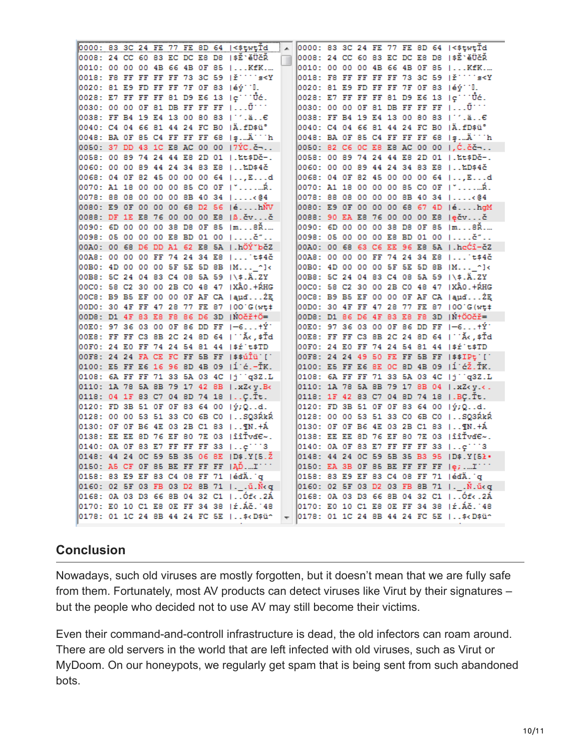|  |  |  |  | 0000: 83 3C 24 FE 77 FE 8D 64  <\$twtTd   A                                                                                                            |                          |  |  |  |  | 0000: 83 3C 24 FE 77 FE 8D 64  <\$twtTd                                    |
|--|--|--|--|--------------------------------------------------------------------------------------------------------------------------------------------------------|--------------------------|--|--|--|--|----------------------------------------------------------------------------|
|  |  |  |  | 0008: 24 CC 60 83 EC DC E8 D8  \$É`ěÜčŘ                                                                                                                | $\Box$                   |  |  |  |  | 0008: 24 CC 60 83 EC DC E8 D8  \$Ĕ`ěÜčŘ                                    |
|  |  |  |  | 0010: 00 00 00 4B 66 4B 0F 85  KfK                                                                                                                     |                          |  |  |  |  | 0010: 00 00 00 4B 66 4B 0F 85  KfK                                         |
|  |  |  |  | $0018$ : F8 FF FF FF FF 73 3C 59 $ E^{\text{max}} $                                                                                                    |                          |  |  |  |  | $\vert$ 0018: F8 FF FF FF FF 73 3C 59 $\vert$ F $\cdots$ s <y< td=""></y<> |
|  |  |  |  | $\overline{0020}$ : 81 E9 FD FF FF 7F OF 83  éý''L.                                                                                                    |                          |  |  |  |  | 0020: 81 E9 FD FF FF 7F OF 83  éý''L.                                      |
|  |  |  |  | 0028: E7 FF FF FF 81 D9 E6 13  稨Üć.                                                                                                                    |                          |  |  |  |  | $ 0028:$ E7 FF FF FF 81 D9 E6 13 $ e^{++}$ Uc.                             |
|  |  |  |  | $\overline{0030}$ : 00 00 0F 81 DB FF FF FF $\overline{1}$ $\tilde{U}^{++}$                                                                            |                          |  |  |  |  | 0030: 00 00 0F 81 DB FF FF FF   U <sup></sup>                              |
|  |  |  |  | 0038: FF B4 19 E4 13 00 80 83   ''.ä€                                                                                                                  |                          |  |  |  |  | 0038: FF B4 19 E4 13 00 80 83   '.ä€                                       |
|  |  |  |  | 0040: C4 04 66 81 44 24 FC B0  Ä.fD\$ü°                                                                                                                |                          |  |  |  |  | 0040: C4 04 66 81 44 24 FC B0  Ä.fD\$ü°                                    |
|  |  |  |  | 0048: BA OF 85 C4 FF FF FF 68   şÄ'''h                                                                                                                 |                          |  |  |  |  | 0048: BA OF 85 C4 FF FF FF 68   șÄ'''h                                     |
|  |  |  |  | 0050: 37 DD 43 1C E8 AC 00 00  7ÝC.č¬                                                                                                                  |                          |  |  |  |  | 0050: 82 C6 OC E8 E8 AC 00 00  ,Ć.čč¬                                      |
|  |  |  |  | 0058: 00 89 74 24 44 E8 2D 01   %t\$Dč-.                                                                                                               |                          |  |  |  |  | 0058: 00 89 74 24 44 E8 2D 01  .‱t\$Dč-.                                   |
|  |  |  |  | 0060: 00 00 89 44 24 34 83 E8  ‱D\$4č                                                                                                                  |                          |  |  |  |  | 0060: 00 00 89 44 24 34 83 E8  ‱D\$4č                                      |
|  |  |  |  | 0068: 04 OF 82 45 00 00 00 64  ,Ed                                                                                                                     |                          |  |  |  |  | 0068: 04 OF 82 45 00 00 00 64  Ed                                          |
|  |  |  |  | 0070: A1 18 00 00 00 85 CO 0F   "…Ŕ.                                                                                                                   |                          |  |  |  |  | 0070: A1 18 00 00 00 85 C0 0F   "…Ŕ.                                       |
|  |  |  |  | 0078: 88 08 00 00 00 8B 40 34  <@4                                                                                                                     |                          |  |  |  |  | 0078: 88 08 00 00 00 8B 40 34  <@4                                         |
|  |  |  |  | 0080: E9 OF 00 00 00 68 D2 56  éhŇV                                                                                                                    |                          |  |  |  |  | 0080: E9 OF 00 00 00 68 67 4D   éhgM                                       |
|  |  |  |  | 0088: DF 1E E8 76 00 00 00 E8  B.čvč                                                                                                                   |                          |  |  |  |  | 0088: 90 EA E8 76 00 00 00 E8  ečvč                                        |
|  |  |  |  | 0090: 6D 00 00 00 38 D8 0F 85  m8Ř.…                                                                                                                   |                          |  |  |  |  | 0090: 6D 00 00 00 38 D8 0F 85  m8Ř.…                                       |
|  |  |  |  | 0098: 05 00 00 00 E8 BD 01 00  č"                                                                                                                      |                          |  |  |  |  | 0098: 05 00 00 00 E8 BD 01 00  č"                                          |
|  |  |  |  | 00A0: 00 68 D6 DD A1 62 E8 5A   hÖÝ~bčZ                                                                                                                |                          |  |  |  |  | 00A0: 00 68 63 C6 EE 96 E8 5A  .hcĆî-čZ                                    |
|  |  |  |  | 00AB: 00 00 00 FF 74 24 34 E8  't\$4č                                                                                                                  |                          |  |  |  |  | 00AB: 00 00 00 FF 74 24 34 E8  't\$4č                                      |
|  |  |  |  | 00B0: 4D 00 00 00 5F 5E 5D 8B  M ^}<                                                                                                                   |                          |  |  |  |  | 00B0: 4D 00 00 00 5F 5E 5D 8B  M ^}<                                       |
|  |  |  |  |                                                                                                                                                        |                          |  |  |  |  |                                                                            |
|  |  |  |  | 00B8: 5C 24 04 83 C4 08 5A 59  \\$.Ä.ZY<br>00C0: 58 C2 30 00 2B C0 48 47  XÂ0.+ŔHG                                                                     |                          |  |  |  |  | 00B8: 5C 24 04 83 C4 08 5A 59 I\\$.Ä.ZY                                    |
|  |  |  |  |                                                                                                                                                        |                          |  |  |  |  | 00C0: 58 C2 30 00 2B C0 48 47   XÂ0.+ŔHG                                   |
|  |  |  |  | 00C8: B9 B5 EF 00 00 OF AF CA   aµdZE                                                                                                                  |                          |  |  |  |  | OOC8: B9 B5 EF 00 00 OF AF CA   audZE                                      |
|  |  |  |  | 00D0: 30 4F FF 47 28 77 FE 87 100 G(wt+                                                                                                                |                          |  |  |  |  | 00D0: 30 4F FF 47 28 77 FE 87 100 G(wt+                                    |
|  |  |  |  | 00D8: D1 4F 83 E8 F8 86 D6 3D  NOČřtÖ=                                                                                                                 |                          |  |  |  |  | 00DB: D1 86 D6 4F 83 E8 F8 3D  N+ÖOČř=                                     |
|  |  |  |  | $\sqrt{00E0}$ : 97 36 03 00 0F 86 DD FF $\ket{-6+Y}$                                                                                                   |                          |  |  |  |  | 00E0: 97 36 03 00 0F 86 DD FF 1-6+Ý`                                       |
|  |  |  |  | 00E8: FF FF C3 8B 2C 24 8D 64   ``Ă<,\$Td                                                                                                              |                          |  |  |  |  | 00E8: FF FF C3 8B 2C 24 8D 64   'Ă<,\$Td                                   |
|  |  |  |  | 00F0: 24 E0 FF 74 24 54 81 44  \$r t\$TD                                                                                                               |                          |  |  |  |  | 00F0: 24 E0 FF 74 24 54 81 44  \$r t\$TD                                   |
|  |  |  |  | OOF8: 24 24 FA CE FC FF 5B FF  \$\$úÎü'['                                                                                                              |                          |  |  |  |  | 00F8: 24 24 49 50 FE FF 5B FF  \$\$IPt []                                  |
|  |  |  |  | 0100: E5 FF E6 16 96 8D 4B 09   1 é.-ŤK.                                                                                                               |                          |  |  |  |  | 0100: E5 FF E6 8E OC 8D 4B 09  Í ćŽ.ŤK.                                    |
|  |  |  |  | 0108: 6A FF FF 71 33 5A 03 4C  j''q3Z.L                                                                                                                |                          |  |  |  |  | 0108: 6A FF FF 71 33 5A 03 4C  j''q3Z.L                                    |
|  |  |  |  | 0110: 1A 78 5A 8B 79 17 42 8B   xZ< y.B<                                                                                                               |                          |  |  |  |  | 0110: 1A 78 5A 8B 79 17 8B 04   xZ< y.<.                                   |
|  |  |  |  | 0118: 04 1F 83 C7 04 8D 74 18  Ç.Ťt.                                                                                                                   |                          |  |  |  |  | 0118: 1F 42 83 C7 04 8D 74 18   BÇ.Ťt.                                     |
|  |  |  |  | $0120:$ FD 3B 51 OF OF 83 64 00 $ \nmid \nmid \nmid Q$ d.                                                                                              |                          |  |  |  |  | $0120:$ FD 3B 51 OF OF 83 64 00 $ \hat{y}; Q_{\cdot}$ .d.                  |
|  |  |  |  | 0128: 00 00 53 51 33 CO 6B CO  SQ3ŔkŔ                                                                                                                  |                          |  |  |  |  | 0128: 00 00 53 51 33 CO 6B CO  SQ3ŔkŔ                                      |
|  |  |  |  | 0130: OF OF B6 4E 03 2B C1 83   N. + A                                                                                                                 |                          |  |  |  |  | 0130: OF OF B6 4E 03 2B C1 83   N.+A                                       |
|  |  |  |  | $0138$ : EE EE 8D 76 EF 80 7E 03  îîŤvď $\epsilon$ ~.                                                                                                  |                          |  |  |  |  | 0138: EE EE 8D 76 EF 80 7E 03  îîŤvd∈~.                                    |
|  |  |  |  | 0140: 0A OF 83 E7 FF FF FF 33  c'''3                                                                                                                   |                          |  |  |  |  | $0140:$ OA OF 83 E7 FF FF FF 33  ç^^^3                                     |
|  |  |  |  | 0148: 44 24 OC 59 5B 35 06 8E   D\$.Y[5.2                                                                                                              |                          |  |  |  |  | 0148: 44 24 0C 59 5B 35 B3 95  D\$.Y[52.                                   |
|  |  |  |  | $0150$ : AS CF OF 85 BE FF FF FF $ \tilde{A}D$ $I$                                                                                                     |                          |  |  |  |  | $0150$ : EA 3B OF 85 BE FF FF FF $\left  \frac{e}{e}, $ <sup>T''</sup>     |
|  |  |  |  | 0158: 83 E9 EF 83 C4 08 FF 71  édÄ. q                                                                                                                  |                          |  |  |  |  | 0158: 83 E9 EF 83 C4 08 FF 71  édÄ. q                                      |
|  |  |  |  | 0160: 02 5F 03 FB 03 D2 8B 71  . .ü.Ň <q td=""  <=""><td></td><td></td><td></td><td></td><td></td><td>0160: 02 5F 03 D2 03 FB 8B 71  . .N.ükg</td></q> |                          |  |  |  |  | 0160: 02 5F 03 D2 03 FB 8B 71  . .N.ükg                                    |
|  |  |  |  | 0168: 0A 03 D3 66 8B 04 32 C1  0f<.2A                                                                                                                  |                          |  |  |  |  | 0168: 0A 03 D3 66 8B 04 32 C1  Óf<.2Á                                      |
|  |  |  |  | 0170: EO 10 C1 E8 OE FF 34 38  ŕ.Áč. 48                                                                                                                |                          |  |  |  |  | 0170: EO 10 C1 E8 OE FF 34 38  ŕ.Áč. 48                                    |
|  |  |  |  | 0178: 01 1C 24 8B 44 24 FC 5E   \$< D\$ü^                                                                                                              | $\overline{\phantom{a}}$ |  |  |  |  | 0178: 01 1C 24 8B 44 24 FC 5E    \$< D\$ü^                                 |
|  |  |  |  |                                                                                                                                                        |                          |  |  |  |  |                                                                            |

## **Conclusion**

Nowadays, such old viruses are mostly forgotten, but it doesn't mean that we are fully safe from them. Fortunately, most AV products can detect viruses like Virut by their signatures – but the people who decided not to use AV may still become their victims.

Even their command-and-controll infrastructure is dead, the old infectors can roam around. There are old servers in the world that are left infected with old viruses, such as Virut or MyDoom. On our honeypots, we regularly get spam that is being sent from such abandoned bots.